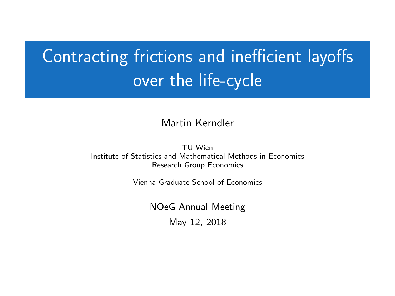# <span id="page-0-0"></span>Contracting frictions and inefficient layoffs over the life-cycle

#### Martin Kerndler

TU Wien Institute of Statistics and Mathematical Methods in Economics Research Group Economics

Vienna Graduate School of Economics

NOeG Annual Meeting May 12, 2018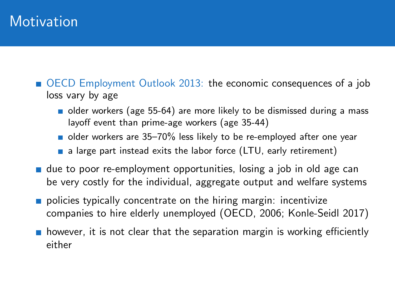#### **Motivation**

- <span id="page-1-0"></span>[OECD Employment Outlook 2013:](#page-19-0) the economic consequences of a job loss vary by age
	- older workers (age 55-64) are more likely to be dismissed during a mass layoff event than prime-age workers (age 35-44)
	- older workers are 35–70% less likely to be re-employed after one year
	- $\blacksquare$  a large part instead exits the labor force (LTU, early retirement)
- $\blacksquare$  due to poor re-employment opportunities, losing a job in old age can be very costly for the individual, aggregate output and welfare systems
- policies typically concentrate on the hiring margin: incentivize companies to hire elderly unemployed (OECD, 2006; Konle-Seidl 2017)
- $\blacksquare$  however, it is not clear that the separation margin is working efficiently either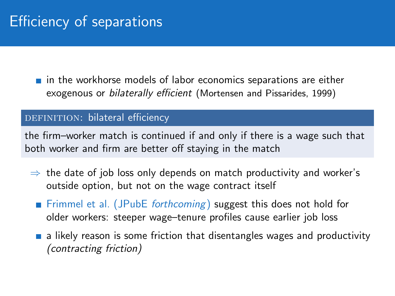## Efficiency of separations

<span id="page-2-0"></span> $\blacksquare$  in the workhorse models of labor economics separations are either exogenous or bilaterally efficient (Mortensen and Pissarides, 1999)

#### DEFINITION: bilateral efficiency

the firm–worker match is continued if and only if there is a wage such that both worker and firm are better off staying in the match

- $\Rightarrow$  the date of job loss only depends on match productivity and worker's outside option, but not on the wage contract itself
	- **Fimmel et al.** (JPubE forthcoming) suggest this does not hold for older workers: steeper wage–tenure profiles cause earlier job loss
	- $\blacksquare$  a likely reason is some friction that disentangles wages and productivity (contracting friction)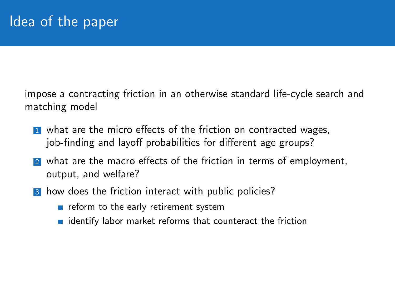impose a contracting friction in an otherwise standard life-cycle search and matching model

- **1** what are the micro effects of the friction on contracted wages, job-finding and layoff probabilities for different age groups?
- 2 what are the macro effects of the friction in terms of employment, output, and welfare?
- 3 how does the friction interact with public policies?
	- $\blacksquare$  reform to the early retirement system
	- $\blacksquare$  identify labor market reforms that counteract the friction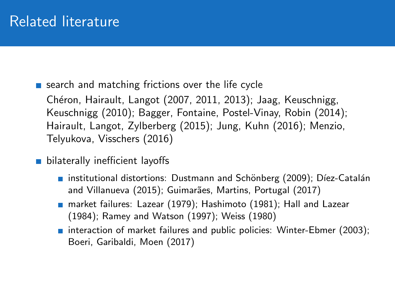### Related literature

 $\blacksquare$  search and matching frictions over the life cycle

Chéron, Hairault, Langot (2007, 2011, 2013); Jaag, Keuschnigg, Keuschnigg (2010); Bagger, Fontaine, Postel-Vinay, Robin (2014); Hairault, Langot, Zylberberg (2015); Jung, Kuhn (2016); Menzio, Telyukova, Visschers (2016)

- **bilaterally inefficient layoffs** 
	- institutional distortions: Dustmann and Schönberg (2009); Díez-Catalán and Villanueva (2015); Guimarães, Martins, Portugal (2017)
	- market failures: Lazear (1979); Hashimoto (1981); Hall and Lazear (1984); Ramey and Watson (1997); Weiss (1980)
	- **n** interaction of market failures and public policies: Winter-Ebmer (2003); Boeri, Garibaldi, Moen (2017)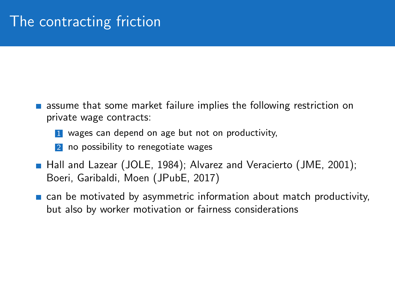- $\blacksquare$  assume that some market failure implies the following restriction on private wage contracts:
	- **1** wages can depend on age but not on productivity,
	- 2 no possibility to renegotiate wages
- Hall and Lazear (JOLE, 1984); Alvarez and Veracierto (JME, 2001); Boeri, Garibaldi, Moen (JPubE, 2017)
- **E** can be motivated by asymmetric information about match productivity, but also by worker motivation or fairness considerations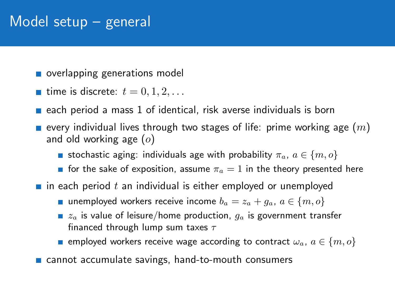#### Model setup – general

- overlapping generations model
- **time is discrete:**  $t = 0, 1, 2, \ldots$
- each period a mass 1 of identical, risk averse individuals is born
- **E** every individual lives through two stages of life: prime working age  $(m)$ and old working age  $(o)$ 
	- stochastic aging: individuals age with probability  $\pi_a, a \in \{m, o\}$
	- for the sake of exposition, assume  $\pi_a = 1$  in the theory presented here
- $\blacksquare$  in each period t an individual is either employed or unemployed
	- unemployed workers receive income  $b_a = z_a + g_a$ ,  $a \in \{m, o\}$
	- $z_a$  is value of leisure/home production,  $q_a$  is government transfer financed through lump sum taxes  $\tau$
	- **E** employed workers receive wage according to contract  $\omega_a$ ,  $a \in \{m, o\}$
- cannot accumulate savings, hand-to-mouth consumers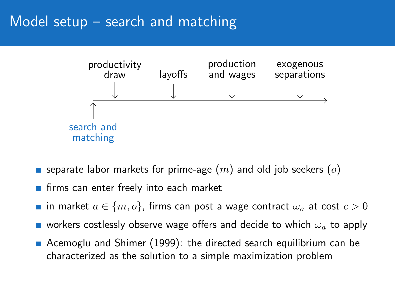#### Model setup – search and matching



- **s** separate labor markets for prime-age  $(m)$  and old job seekers  $(o)$
- firms can enter freely into each market
- **■** in market  $a \in \{m, o\}$ , firms can post a wage contract  $\omega_a$  at cost  $c > 0$
- workers costlessly observe wage offers and decide to which  $\omega_a$  to apply
- **A** Acemoglu and Shimer (1999): the directed search equilibrium can be characterized as the solution to a simple maximization problem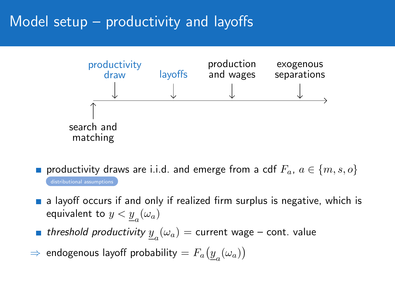### Model setup – productivity and layoffs



- **n** productivity draws are i.i.d. and emerge from a cdf  $F_a$ ,  $a \in \{m, s, o\}$ [distributional assumptions](#page-21-0)
- **a** a layoff occurs if and only if realized firm surplus is negative, which is equivalent to  $y < \underline{y}_{a}(\omega_{a})$
- threshold productivity  $\underline{y}_a(\omega_a) =$  current wage cont. value
- $\Rightarrow$  endogenous layoff probability  $=F_a\big(\underline{y}_a(\omega_a)\big)$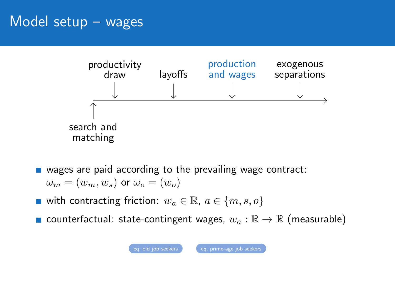#### Model setup – wages

<span id="page-9-0"></span>

- **u** wages are paid according to the prevailing wage contract:  $\omega_m = (w_m, w_s)$  or  $\omega_o = (w_o)$
- with contracting friction:  $w_a \in \mathbb{R}$ ,  $a \in \{m, s, o\}$
- **■** counterfactual: state-contingent wages,  $w_a : \mathbb{R} \to \mathbb{R}$  (measurable)

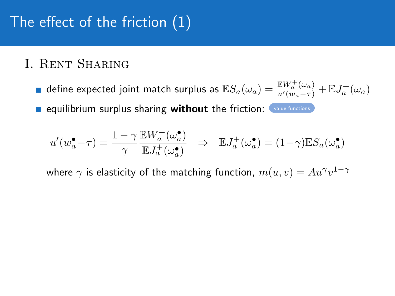# The effect of the friction (1)

#### <span id="page-10-0"></span>I. Rent Sharing

define expected joint match surplus as  $\mathbb{E} S_a(\omega_a)=\frac{\mathbb{E} W_a^+(\omega_a)}{u'(w_a-\tau)}+\mathbb{E} J_a^+(\omega_a)$ **Example 1 contribution** surplus sharing without the friction: [value functions](#page-25-0)

$$
u'(w_a^{\bullet}-\tau)=\frac{1-\gamma}{\gamma}\frac{\mathbb{E} W_a^+(\omega_a^{\bullet})}{\mathbb{E} J_a^+(\omega_a^{\bullet})}\quad\Rightarrow\quad \mathbb{E} J_a^+(\omega_a^{\bullet})=(1-\gamma)\mathbb{E} S_a(\omega_a^{\bullet})
$$

where  $\gamma$  is elasticity of the matching function,  $m(u,v) = A u^\gamma v^{1-\gamma}$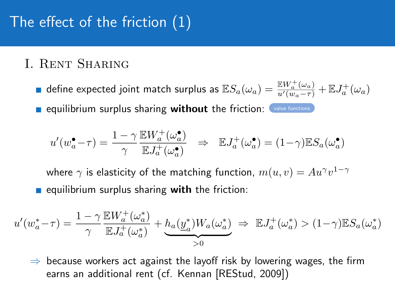## The effect of the friction (1)

#### I. Rent Sharing

define expected joint match surplus as  $\mathbb{E} S_a(\omega_a)=\frac{\mathbb{E} W_a^+(\omega_a)}{u'(w_a-\tau)}+\mathbb{E} J_a^+(\omega_a)$ **Example 1 contribution** surplus sharing without the friction: [value functions](#page-25-0)

$$
u'(w_a^{\bullet} - \tau) = \frac{1 - \gamma}{\gamma} \frac{\mathbb{E}W_a^+(\omega_a^{\bullet})}{\mathbb{E}J_a^+(\omega_a^{\bullet})} \Rightarrow \mathbb{E}J_a^+(\omega_a^{\bullet}) = (1 - \gamma)\mathbb{E}S_a(\omega_a^{\bullet})
$$

where  $\gamma$  is elasticity of the matching function,  $m(u,v) = A u^\gamma v^{1-\gamma}$ equilibrium surplus sharing with the friction:

$$
u'(w_a^* - \tau) = \frac{1 - \gamma}{\gamma} \frac{\mathbb{E} W_a^+(\omega_a^*)}{\mathbb{E} J_a^+(\omega_a^*)} + \underbrace{h_a(\underline{y}_a^*)W_a(\omega_a^*)}_{>0} \implies \mathbb{E} J_a^+(\omega_a^*) > (1 - \gamma)\mathbb{E} S_a(\omega_a^*)
$$

 $\Rightarrow$  because workers act against the layoff risk by lowering wages, the firm earns an additional rent (cf. Kennan [REStud, 2009])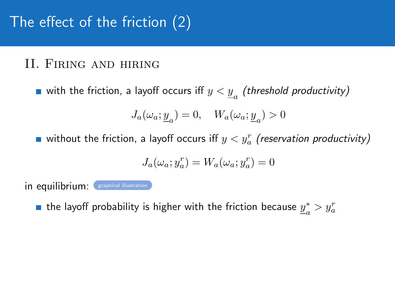## The effect of the friction (2)

#### <span id="page-12-0"></span>II. Firing and hiring

with the friction, a layoff occurs iff  $y < \underline{y}_{a}$  (threshold productivity)

$$
J_a(\omega_a; \underline{y}_a) = 0, \quad W_a(\omega_a; \underline{y}_a) > 0
$$

without the friction, a layoff occurs iff  $y < y^r_a$  (reservation productivity)

$$
J_a(\omega_a;y_a^r)=W_a(\omega_a;y_a^r)=0
$$

in equilibrium: Graphical illustration

the layoff probability is higher with the friction because  $y^*_{\alpha}$  $a^*$  >  $y_a^r$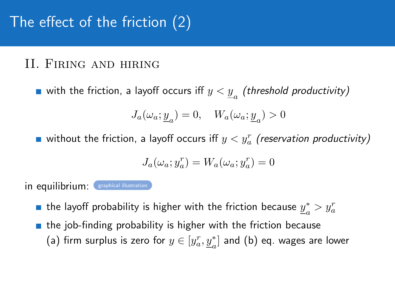## The effect of the friction (2)

#### II. Firing and hiring

with the friction, a layoff occurs iff  $y < \underline{y}_{a}$  (threshold productivity)

$$
J_a(\omega_a; \underline{y}_a) = 0, \quad W_a(\omega_a; \underline{y}_a) > 0
$$

without the friction, a layoff occurs iff  $y < y^r_a$  (reservation productivity)

$$
J_a(\omega_a;y_a^r)=W_a(\omega_a;y_a^r)=0
$$

in equilibrium: Graphical illustration

- the layoff probability is higher with the friction because  $y^*_{\alpha}$  $a^*$  >  $y_a^r$
- $\blacksquare$  the job-finding probability is higher with the friction because (a) firm surplus is zero for  $y\in [y^r_a, \underline{y}^*_a]$  and (b) eq. wages are lower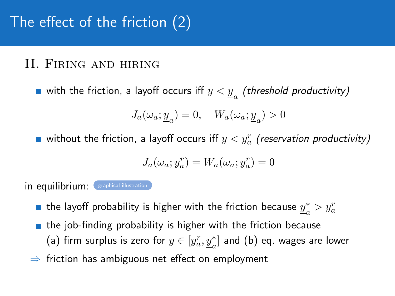## The effect of the friction (2)

#### II. Firing and hiring

with the friction, a layoff occurs iff  $y < \underline{y}_{a}$  (threshold productivity)

$$
J_a(\omega_a; \underline{y}_a) = 0, \quad W_a(\omega_a; \underline{y}_a) > 0
$$

without the friction, a layoff occurs iff  $y < y^r_a$  (reservation productivity)

$$
J_a(\omega_a;y_a^r)=W_a(\omega_a;y_a^r)=0
$$

in equilibrium: Graphical illustration

- the layoff probability is higher with the friction because  $y^*_{\alpha}$  $a^*$  >  $y_a^r$
- $\blacksquare$  the job-finding probability is higher with the friction because (a) firm surplus is zero for  $y\in [y^r_a, \underline{y}^*_a]$  and (b) eq. wages are lower
- $\Rightarrow$  friction has ambiguous net effect on employment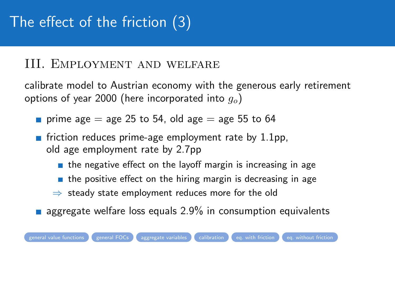# The effect of the friction (3)

#### <span id="page-15-0"></span>III. Employment and welfare

calibrate model to Austrian economy with the generous early retirement options of year 2000 (here incorporated into  $g_o$ )

- **prime age = age 25 to 54, old age = age 55 to 64**
- **Fi** friction reduces prime-age employment rate by  $1.1$ pp, old age employment rate by 2.7pp
	- $\blacksquare$  the negative effect on the layoff margin is increasing in age
	- $\blacksquare$  the positive effect on the hiring margin is decreasing in age
	- ⇒ steady state employment reduces more for the old
- **a** aggregate welfare loss equals  $2.9\%$  in consumption equivalents

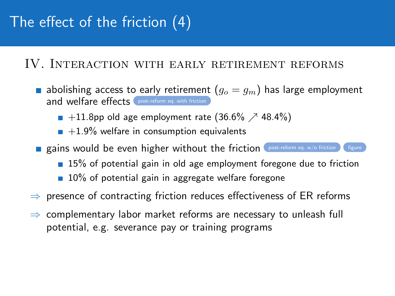# The effect of the friction (4)

#### <span id="page-16-0"></span>IV. Interaction with early retirement reforms

- **a** abolishing access to early retirement  $(g_o = g_m)$  has large employment and welfare effects [post-reform eq. with friction](#page-40-0)
	- $\blacksquare$  +11.8pp old age employment rate (36.6%  $\nearrow$  48.4%)
	- $+1.9\%$  welfare in consumption equivalents
- **Exains would be even higher without the friction** [post-reform eq. w/o friction](#page-41-0)  $\left| \right|$  [figure](#page-42-0)
	- **15%** of potential gain in old age employment foregone due to friction
	- $\blacksquare$  10% of potential gain in aggregate welfare foregone
- $\Rightarrow$  presence of contracting friction reduces effectiveness of ER reforms
- $\Rightarrow$  complementary labor market reforms are necessary to unleash full potential, e.g. severance pay or training programs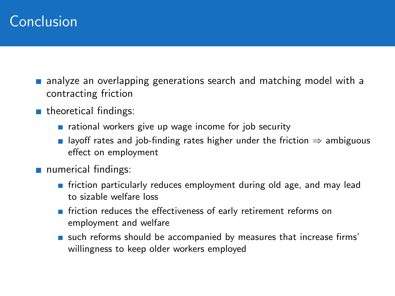### Conclusion

- **a** analyze an overlapping generations search and matching model with a contracting friction
- **n** theoretical findings:
	- $\blacksquare$  rational workers give up wage income for job security
	- **■** layoff rates and job-finding rates higher under the friction  $\Rightarrow$  ambiguous effect on employment
- numerical findings:
	- **Fiction particularly reduces employment during old age, and may lead** to sizable welfare loss
	- **F** friction reduces the effectiveness of early retirement reforms on employment and welfare
	- such reforms should be accompanied by measures that increase firms' willingness to keep older workers employed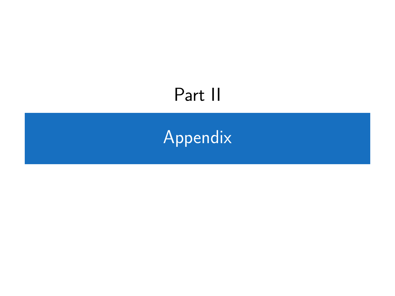# <span id="page-18-0"></span>Part II

# [Appendix](#page-18-0)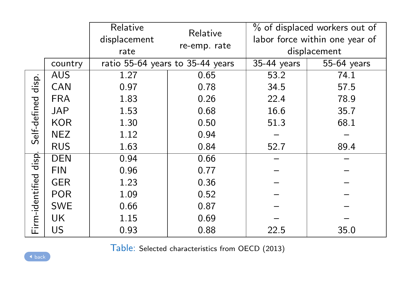<span id="page-19-0"></span>

|                         |            | Relative<br>displacement         | Relative     |              | % of displaced workers out of<br>labor force within one year of |
|-------------------------|------------|----------------------------------|--------------|--------------|-----------------------------------------------------------------|
|                         |            | rate                             | re-emp. rate | displacement |                                                                 |
|                         | country    | ratio 55-64 years to 35-44 years |              | 35-44 years  | 55-64 years                                                     |
|                         | <b>AUS</b> | 1.27                             | 0.65         | 53.2         | 74.1                                                            |
| disp.                   | CAN        | 0.97                             | 0.78         | 34.5         | 57.5                                                            |
|                         | <b>FRA</b> | 1.83                             | 0.26         | 22.4         | 78.9                                                            |
|                         | JAP        | 1.53                             | 0.68         | 16.6         | 35.7                                                            |
|                         | <b>KOR</b> | 1.30                             | 0.50         | 51.3         | 68.1                                                            |
| Self-defined            | <b>NEZ</b> | 1.12                             | 0.94         |              |                                                                 |
|                         | <b>RUS</b> | 1.63                             | 0.84         | 52.7         | 89.4                                                            |
| disp<br>Firm-identified | <b>DEN</b> | 0.94                             | 0.66         |              |                                                                 |
|                         | <b>FIN</b> | 0.96                             | 0.77         |              |                                                                 |
|                         | <b>GER</b> | 1.23                             | 0.36         |              |                                                                 |
|                         | <b>POR</b> | 1.09                             | 0.52         |              |                                                                 |
|                         | <b>SWE</b> | 0.66                             | 0.87         |              |                                                                 |
|                         | UK         | 1.15                             | 0.69         |              |                                                                 |
|                         | US         | 0.93                             | 0.88         | 22.5         | 35.0                                                            |

Table: Selected characteristics from OECD (2013)

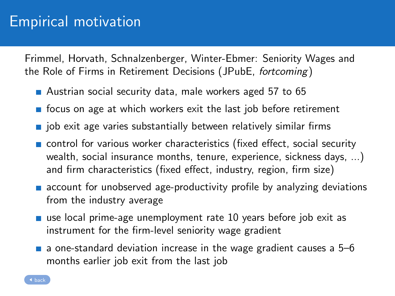### Empirical motivation

<span id="page-20-0"></span>Frimmel, Horvath, Schnalzenberger, Winter-Ebmer: Seniority Wages and the Role of Firms in Retirement Decisions (JPubE, fortcoming)

- Austrian social security data, male workers aged 57 to 65
- $\blacksquare$  focus on age at which workers exit the last job before retirement
- $\blacksquare$  job exit age varies substantially between relatively similar firms
- **n** control for various worker characteristics (fixed effect, social security wealth, social insurance months, tenure, experience, sickness days, ...) and firm characteristics (fixed effect, industry, region, firm size)
- **a** account for unobserved age-productivity profile by analyzing deviations from the industry average
- use local prime-age unemployment rate 10 years before job exit as instrument for the firm-level seniority wage gradient
- $\blacksquare$  a one-standard deviation increase in the wage gradient causes a 5–6 months earlier job exit from the last job

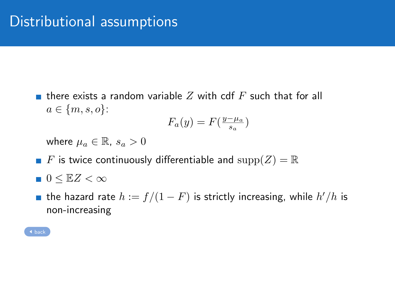<span id="page-21-0"></span>**there exists a random variable Z with cdf F such that for all**  $a \in \{m, s, o\}$ :

$$
F_a(y) = F(\frac{y - \mu_a}{s_a})
$$

where  $\mu_a \in \mathbb{R}$ ,  $s_a > 0$ 

- F is twice continuously differentiable and  $\text{supp}(Z) = \mathbb{R}$
- $\blacksquare$  0  $\leq$  EZ  $< \infty$
- the hazard rate  $h:=f/(1-F)$  is strictly increasing, while  $h'/h$  is non-increasing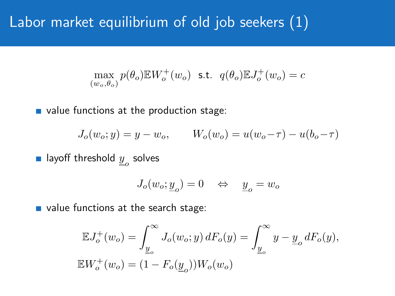### <span id="page-22-0"></span>Labor market equilibrium of old job seekers (1)

$$
\max_{(w_o, \theta_o)} p(\theta_o) \mathbb{E} W_o^+(w_o) \text{ s.t. } q(\theta_o) \mathbb{E} J_o^+(w_o) = c
$$

value functions at the production stage:

$$
J_o(w_o; y) = y - w_o, \qquad W_o(w_o) = u(w_o - \tau) - u(b_o - \tau)
$$

layoff threshold  $\underline{y}_o$  solves

$$
J_o(w_o; \underline{y}_o) = 0 \quad \Leftrightarrow \quad \underline{y}_o = w_o
$$

value functions at the search stage:

$$
\mathbb{E}J_o^+(w_o) = \int_{\underline{y}_o}^{\infty} J_o(w_o; y) dF_o(y) = \int_{\underline{y}_o}^{\infty} y - \underline{y}_o dF_o(y),
$$
  

$$
\mathbb{E}W_o^+(w_o) = (1 - F_o(\underline{y}_o))W_o(w_o)
$$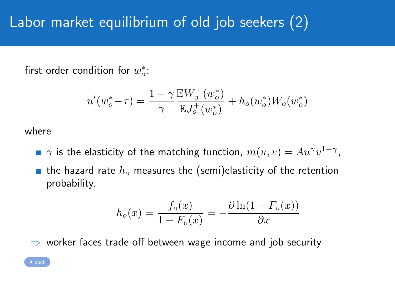# Labor market equilibrium of old job seekers (2)

first order condition for  $w_o^*$ :

$$
u'(w_o^* - \tau) = \frac{1 - \gamma}{\gamma} \frac{\mathbb{E} W_o^+(w_o^*)}{\mathbb{E} J_o^+(w_o^*)} + h_o(w_o^*) W_o(w_o^*)
$$

where

- $\gamma$  is the elasticity of the matching function,  $m(u,v) = A u^\gamma v^{1-\gamma}$ ,
- **the hazard rate**  $h_o$  **measures the (semi)elasticity of the retention** probability,

$$
h_o(x) = \frac{f_o(x)}{1 - F_o(x)} = -\frac{\partial \ln(1 - F_o(x))}{\partial x}
$$

 $\Rightarrow$  worker faces trade-off between wage income and job security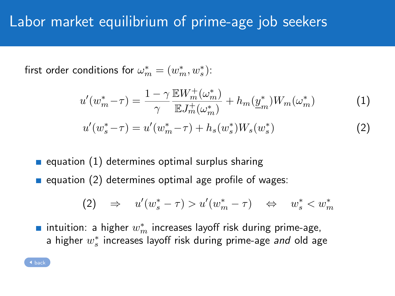### Labor market equilibrium of prime-age job seekers

<span id="page-24-0"></span>first order conditions for  $\omega_m^* = (w_m^*, w_s^*)$ :

$$
u'(w_m^* - \tau) = \frac{1 - \gamma}{\gamma} \frac{\mathbb{E}W_m^+(\omega_m^*)}{\mathbb{E}J_m^+(\omega_m^*)} + h_m(\underline{y}_m^*)W_m(\omega_m^*)
$$
(1)

$$
u'(w_s^* - \tau) = u'(w_m^* - \tau) + h_s(w_s^*)W_s(w_s^*)
$$
\n(2)

- equation  $(1)$  determines optimal surplus sharing
- equation  $(2)$  determines optimal age profile of wages:

$$
(2) \Rightarrow u'(w_s^* - \tau) > u'(w_m^* - \tau) \Leftrightarrow w_s^* < w_m^*
$$

intuition: a higher  $w_m^\ast$  increases layoff risk during prime-age, a higher  $w^{\ast}_s$  increases layoff risk during prime-age *and* old age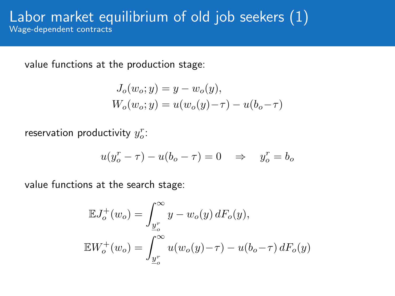#### Labor market equilibrium of old job seekers (1) Wage-dependent contracts

<span id="page-25-0"></span>value functions at the production stage:

$$
J_o(w_o; y) = y - w_o(y),
$$
  
 
$$
W_o(w_o; y) = u(w_o(y) - \tau) - u(b_o - \tau)
$$

reservation productivity  $y^r_o$ :

$$
u(y_o^r - \tau) - u(b_o - \tau) = 0 \quad \Rightarrow \quad y_o^r = b_o
$$

value functions at the search stage:

$$
\mathbb{E}J_o^+(w_o) = \int_{\underline{y}_o^r}^{\infty} y - w_o(y) dF_o(y),
$$
  

$$
\mathbb{E}W_o^+(w_o) = \int_{\underline{y}_o^r}^{\infty} u(w_o(y) - \tau) - u(b_o - \tau) dF_o(y)
$$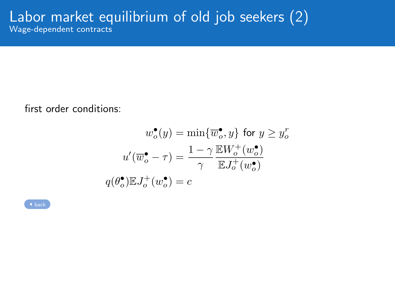#### Labor market equilibrium of old job seekers (2) Wage-dependent contracts

first order conditions:

$$
w_o^{\bullet}(y) = \min\{\overline{w}_o^{\bullet}, y\} \text{ for } y \ge y_o^r
$$

$$
u'(\overline{w}_o^{\bullet} - \tau) = \frac{1 - \gamma}{\gamma} \frac{\mathbb{E}W_o^+(\overline{w}_o^{\bullet})}{\mathbb{E}J_o^+(\overline{w}_o^{\bullet})}
$$

$$
q(\theta_o^{\bullet})\mathbb{E}J_o^+(\overline{w}_o^{\bullet}) = c
$$

| back |  |  |
|------|--|--|
|      |  |  |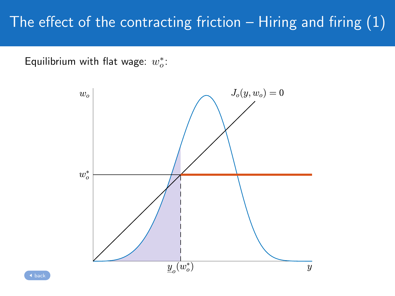# The effect of the contracting friction  $-$  Hiring and firing  $(1)$

<span id="page-27-0"></span>Equilibrium with flat wage:  $w_o^*$ :

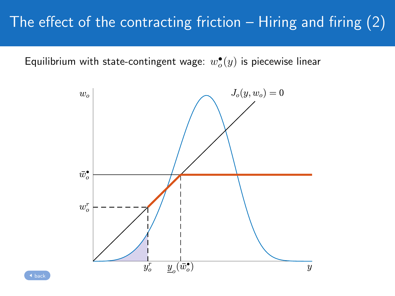## The effect of the contracting friction  $-$  Hiring and firing  $(2)$

Equilibrium with state-contingent wage:  $w^\bullet_o(y)$  is piecewise linear

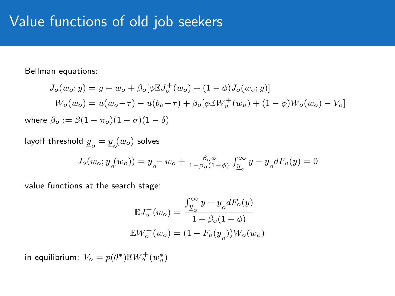#### Value functions of old job seekers

<span id="page-29-0"></span>Bellman equations:

$$
J_o(w_o; y) = y - w_o + \beta_o[\phi \mathbb{E} J_o^+(w_o) + (1 - \phi) J_o(w_o; y)]
$$
  
\n
$$
W_o(w_o) = u(w_o - \tau) - u(b_o - \tau) + \beta_o[\phi \mathbb{E} W_o^+(w_o) + (1 - \phi) W_o(w_o) - V_o]
$$
  
\nwhere  $\beta_o := \beta(1 - \pi_o)(1 - \sigma)(1 - \delta)$ 

layoff threshold  $\underline{y}_o = \underline{y}_o(w_o)$  solves

$$
J_o(w_o; \underline{y}_o(w_o)) = \underline{y}_o - w_o + \frac{\beta_o \phi}{1 - \beta_o(1 - \phi)} \int_{\underline{y}_o}^{\infty} y - \underline{y}_o dF_o(y) = 0
$$

value functions at the search stage:

$$
\begin{aligned} \mathbb{E}J_{o}^{+}(w_{o})&=\frac{\int_{\underline{y}_{o}}^{\infty}y-\underline{y}_{o}dF_{o}(y)}{1-\beta_{o}(1-\phi)}\\ \mathbb{E}W_{o}^{+}(w_{o})&=(1-F_{o}(\underline{y}_{o}))W_{o}(w_{o}) \end{aligned}
$$

in equilibrium:  $V_o = p(\theta^*) \mathbb{E} W_o^+ (w_o^*)$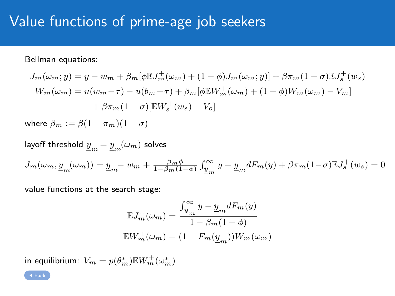### Value functions of prime-age job seekers

Bellman equations:

$$
J_m(\omega_m; y) = y - w_m + \beta_m [\phi \mathbb{E} J_m^+(\omega_m) + (1 - \phi) J_m(\omega_m; y)] + \beta \pi_m (1 - \sigma) \mathbb{E} J_s^+(w_s)
$$
  

$$
W_m(\omega_m) = u(w_m - \tau) - u(b_m - \tau) + \beta_m [\phi \mathbb{E} W_m^+(\omega_m) + (1 - \phi) W_m(\omega_m) - V_m]
$$
  

$$
+ \beta \pi_m (1 - \sigma) [\mathbb{E} W_s^+(\omega_s) - V_o]
$$

where  $\beta_m := \beta(1 - \pi_m)(1 - \sigma)$ 

layoff threshold 
$$
\underline{y}_m = \underline{y}_m(\omega_m)
$$
 solves

\n
$$
J_m(\omega_m, \underline{y}_m(\omega_m)) = \underline{y}_m - w_m + \frac{\beta_m \phi}{1 - \beta_m (1 - \phi)} \int_{\underline{y}_m}^{\infty} y - \underline{y}_m dF_m(y) + \beta \pi_m (1 - \sigma) \mathbb{E} J_s^+(w_s) = 0
$$

value functions at the search stage:

$$
\begin{aligned} \mathbb{E} J_m^+(\omega_m) &= \frac{\int_{\underline{y}_m}^\infty y - \underline{y}_m dF_m(y)}{1 - \beta_m (1 - \phi)} \\ \mathbb{E} W_m^+(\omega_m) &= (1 - F_m(\underline{y}_m)) W_m(\omega_m) \end{aligned}
$$

in equilibrium:  $V_m = p(\theta^*_m) \mathbb{E} W_m^+(\omega^*_m)$ 

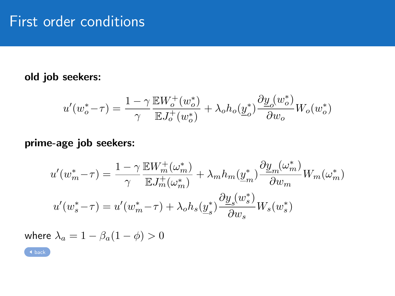#### <span id="page-31-0"></span>old job seekers:

$$
u'(w_o^* - \tau) = \frac{1-\gamma}{\gamma} \frac{\mathbb{E} W_o^+ (w_o^*)}{\mathbb{E} J_o^+ (w_o^*)} + \lambda_o h_o(\underline{y}_o^*) \frac{\partial \underline{y}_o(w_o^*)}{\partial w_o} W_o(w_o^*)
$$

#### prime-age job seekers:

$$
u'(w_m^* - \tau) = \frac{1 - \gamma}{\gamma} \frac{\mathbb{E}W_m^+(\omega_m^*)}{\mathbb{E}J_m^+(\omega_m^*)} + \lambda_m h_m(\underline{y}_m^*) \frac{\partial \underline{y}_m(\omega_m^*)}{\partial w_m} W_m(\omega_m^*)
$$
  

$$
u'(w_s^* - \tau) = u'(w_m^* - \tau) + \lambda_o h_s(\underline{y}_s^*) \frac{\partial \underline{y}_s(w_s^*)}{\partial w_s} W_s(w_s^*)
$$

where  $\lambda_a = 1 - \beta_a (1 - \phi) > 0$ 

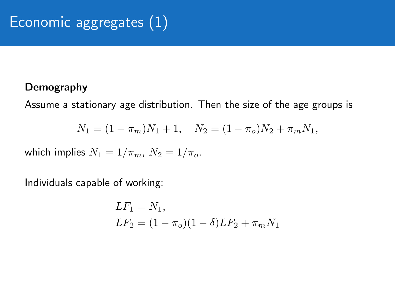#### <span id="page-32-0"></span>Demography

Assume a stationary age distribution. Then the size of the age groups is

$$
N_1 = (1 - \pi_m)N_1 + 1, \quad N_2 = (1 - \pi_o)N_2 + \pi_m N_1,
$$

which implies  $N_1 = 1/\pi_m$ ,  $N_2 = 1/\pi_o$ .

Individuals capable of working:

$$
LF_1 = N_1,
$$
  
\n
$$
LF_2 = (1 - \pi_o)(1 - \delta)LF_2 + \pi_m N_1
$$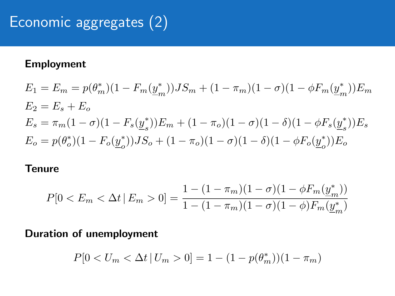# Economic aggregates (2)

#### Employment

$$
E_1 = E_m = p(\theta_m^*)(1 - F_m(\underline{y}_m^*))JS_m + (1 - \pi_m)(1 - \sigma)(1 - \phi F_m(\underline{y}_m^*))E_m
$$
  
\n
$$
E_2 = E_s + E_o
$$
  
\n
$$
E_s = \pi_m(1 - \sigma)(1 - F_s(\underline{y}_s^*))E_m + (1 - \pi_o)(1 - \sigma)(1 - \delta)(1 - \phi F_s(\underline{y}_s^*))E_s
$$
  
\n
$$
E_o = p(\theta_o^*)(1 - F_o(\underline{y}_o^*))JS_o + (1 - \pi_o)(1 - \sigma)(1 - \delta)(1 - \phi F_o(\underline{y}_o^*))E_o
$$

#### **Tenure**

$$
P[0 < E_m < \Delta t \mid E_m > 0] = \frac{1 - (1 - \pi_m)(1 - \sigma)(1 - \phi F_m(\underline{y}_m^*))}{1 - (1 - \pi_m)(1 - \sigma)(1 - \phi)F_m(\underline{y}_m^*)}
$$

#### Duration of unemployment

$$
P[0 < U_m < \Delta t \, | \, U_m > 0] = 1 - (1 - p(\theta_m^*))(1 - \pi_m)
$$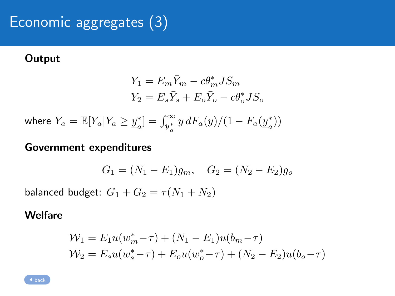# Economic aggregates (3)

#### **Output**

$$
Y_1 = E_m \bar{Y}_m - c\theta_m^* J S_m
$$
  

$$
Y_2 = E_s \bar{Y}_s + E_o \bar{Y}_o - c\theta_o^* J S_o
$$

where  $\bar{Y}_a = \mathbb{E}[Y_a|Y_a \geq \underline{y}_a^*]$  $\mathcal{L}_{a}^{*}$ ] =  $\int_{\underline{y}_{a}^{*}}^{\infty} y dF_{a}(y)/(1 - F_{a}(\underline{y}_{a}^{*}))$  $_{a}^{\ast }))$ 

#### Government expenditures

$$
G_1 = (N_1 - E_1)g_m, \quad G_2 = (N_2 - E_2)g_o
$$

balanced budget:  $G_1 + G_2 = \tau (N_1 + N_2)$ 

#### **Welfare**

$$
\mathcal{W}_1 = E_1 u(w_m^* - \tau) + (N_1 - E_1)u(b_m - \tau)
$$
  

$$
\mathcal{W}_2 = E_s u(w_s^* - \tau) + E_0 u(w_o^* - \tau) + (N_2 - E_2)u(b_o - \tau)
$$

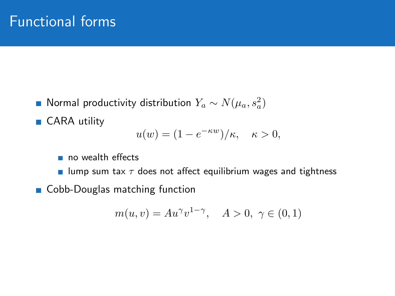- <span id="page-35-0"></span>Normal productivity distribution  $Y_a \sim N(\mu_a, s_a^2)$
- CARA utility

$$
u(w) = (1 - e^{-\kappa w})/\kappa, \quad \kappa > 0,
$$

- no wealth effects
- **u** lump sum tax  $\tau$  does not affect equilibrium wages and tightness
- Cobb-Douglas matching function

$$
m(u, v) = Au^{\gamma}v^{1-\gamma}, \quad A > 0, \ \gamma \in (0, 1)
$$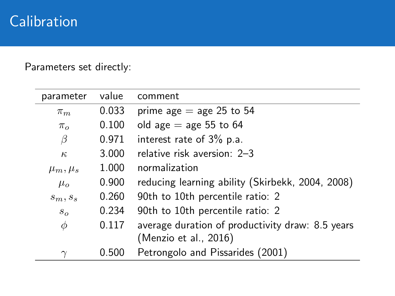## **Calibration**

 $\overline{a}$ 

 $\overline{\phantom{0}}$ 

Parameters set directly:

| parameter      | value | comment                                          |
|----------------|-------|--------------------------------------------------|
| $\pi_m$        | 0.033 | prime age $=$ age 25 to 54                       |
| $\pi_{\alpha}$ | 0.100 | old age $=$ age 55 to 64                         |
| β              | 0.971 | interest rate of 3% p.a.                         |
| $\kappa$       | 3.000 | relative risk aversion: 2-3                      |
| $\mu_m, \mu_s$ | 1.000 | normalization                                    |
| $\mu_{o}$      | 0.900 | reducing learning ability (Skirbekk, 2004, 2008) |
| $s_m, s_s$     | 0.260 | 90th to 10th percentile ratio: 2                 |
| $S_{O}$        | 0.234 | 90th to 10th percentile ratio: 2                 |
| $\phi$         | 0.117 | average duration of productivity draw: 8.5 years |
|                |       | (Menzio et al., 2016)                            |
|                | 0.500 | Petrongolo and Pissarides (2001)                 |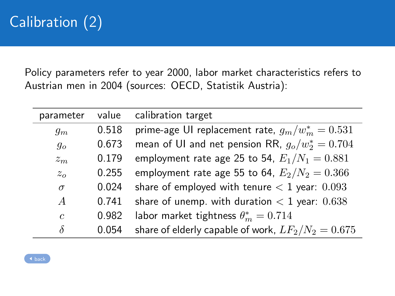# Calibration (2)

Policy parameters refer to year 2000, labor market characteristics refers to Austrian men in 2004 (sources: OECD, Statistik Austria):

| parameter      | value | calibration target                                   |
|----------------|-------|------------------------------------------------------|
| $g_m$          | 0.518 | prime-age UI replacement rate, $g_m/w_m^* = 0.531$   |
| $g_{o}$        | 0.673 | mean of UI and net pension RR, $g_0/w_2^* = 0.704$   |
| $z_m$          | 0.179 | employment rate age 25 to 54, $E_1/N_1 = 0.881$      |
| $z_o$          | 0.255 | employment rate age 55 to 64, $E_2/N_2 = 0.366$      |
| $\sigma$       | 0.024 | share of employed with tenure $< 1$ year: 0.093      |
| $\overline{A}$ | 0.741 | share of unemp. with duration $<$ 1 year: 0.638      |
| $\mathfrak{c}$ | 0.982 | labor market tightness $\theta_m^* = 0.714$          |
| $\delta$       | 0.054 | share of elderly capable of work, $LF_2/N_2 = 0.675$ |

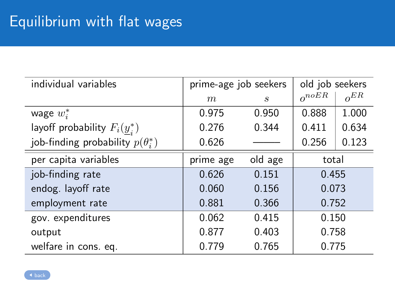<span id="page-38-0"></span>

| individual variables                        | prime-age job seekers |         | old job seekers |          |
|---------------------------------------------|-----------------------|---------|-----------------|----------|
|                                             | m                     | S       | $o^{noER}$      | $o^{ER}$ |
| wage $w_i^*$                                | 0.975                 | 0.950   | 0.888           | 1.000    |
| layoff probability $F_i(\underline{y}_i^*)$ | 0.276                 | 0.344   | 0.411           | 0.634    |
| job-finding probability $p(\theta_i^*)$     | 0.626                 |         | 0.256           | 0.123    |
| per capita variables                        | prime age             | old age | total           |          |
| job-finding rate                            | 0.626                 | 0.151   | 0.455           |          |
| endog. layoff rate                          | 0.060                 | 0.156   | 0.073           |          |
| employment rate                             | 0.881                 | 0.366   | 0.752           |          |
| gov. expenditures                           | 0.062                 | 0.415   | 0.150           |          |
| output                                      | 0.877                 | 0.403   | 0.758           |          |
| welfare in cons. eq.                        | 0.779                 | 0.765   | 0.775           |          |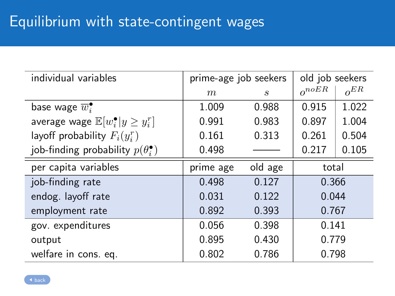<span id="page-39-0"></span>

| individual variables                                  | prime-age job seekers |         | old job seekers |          |
|-------------------------------------------------------|-----------------------|---------|-----------------|----------|
|                                                       | m                     | S       | $o^{noER}$      | $o^{ER}$ |
| base wage $\overline{w}$ .                            | 1.009                 | 0.988   | 0.915           | 1.022    |
| average wage $\mathbb{E}[w_i^{\bullet} y \geq y_i^r]$ | 0.991                 | 0.983   | 0.897           | 1.004    |
| layoff probability $F_i(y_i^r)$                       | 0.161                 | 0.313   | 0.261           | 0.504    |
| job-finding probability $p(\theta_i^{\bullet})$       | 0.498                 |         | 0.217           | 0.105    |
| per capita variables                                  | prime age             | old age | total           |          |
| job-finding rate                                      | 0.498                 | 0.127   | 0.366           |          |
| endog. layoff rate                                    | 0.031                 | 0.122   | 0.044           |          |
| employment rate                                       | 0.892                 | 0.393   | 0.767           |          |
| gov. expenditures                                     | 0.056                 | 0.398   | 0.141           |          |
| output                                                | 0.895                 | 0.430   | 0.779           |          |
| welfare in cons. eq.                                  | 0.802                 | 0.786   | 0.798           |          |

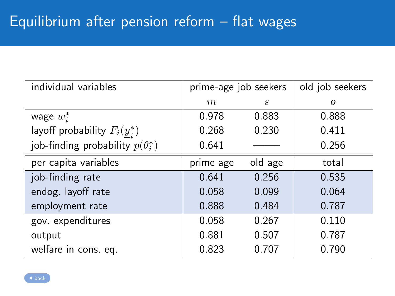<span id="page-40-0"></span>

| individual variables                        | prime-age job seekers |         | old job seekers |
|---------------------------------------------|-----------------------|---------|-----------------|
|                                             | m                     | S       | $\Omega$        |
| wage $w_i^*$                                | 0.978                 | 0.883   | 0.888           |
| layoff probability $F_i(\underline{y}_i^*)$ | 0.268                 | 0.230   | 0.411           |
| job-finding probability $p(\theta_i^*)$     | 0.641                 |         | 0.256           |
| per capita variables                        | prime age             | old age | total           |
| job-finding rate                            | 0.641                 | 0.256   | 0.535           |
| endog. layoff rate                          | 0.058                 | 0.099   | 0.064           |
| employment rate                             | 0.888                 | 0.484   | 0.787           |
| gov. expenditures                           | 0.058                 | 0.267   | 0.110           |
| output                                      | 0.881                 | 0.507   | 0.787           |
| welfare in cons. eq.                        | 0.823                 | 0.707   | 0.790           |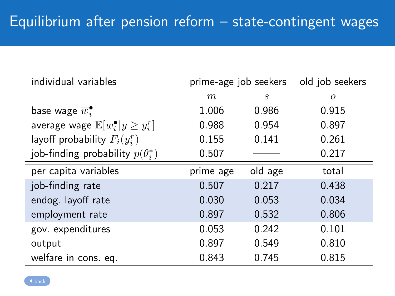<span id="page-41-0"></span>

| individual variables                                  | prime-age job seekers |         | old job seekers |
|-------------------------------------------------------|-----------------------|---------|-----------------|
|                                                       | m                     | S       | $\Omega$        |
| base wage $\overline{w}$ .                            | 1.006                 | 0.986   | 0.915           |
| average wage $\mathbb{E}[w_i^{\bullet} y \geq y_i^r]$ | 0.988                 | 0.954   | 0.897           |
| layoff probability $F_i(y_i^r)$                       | 0.155                 | 0.141   | 0.261           |
| job-finding probability $p(\theta_i^*)$               | 0.507                 |         | 0.217           |
| per capita variables                                  | prime age             | old age | total           |
| job-finding rate                                      | 0.507                 | 0.217   | 0.438           |
| endog. layoff rate                                    | 0.030                 | 0.053   | 0.034           |
| employment rate                                       | 0.897                 | 0.532   | 0.806           |
| gov. expenditures                                     | 0.053                 | 0.242   | 0.101           |
| output                                                | 0.897                 | 0.549   | 0.810           |
| welfare in cons. eq.                                  | 0.843                 | 0.745   | 0.815           |